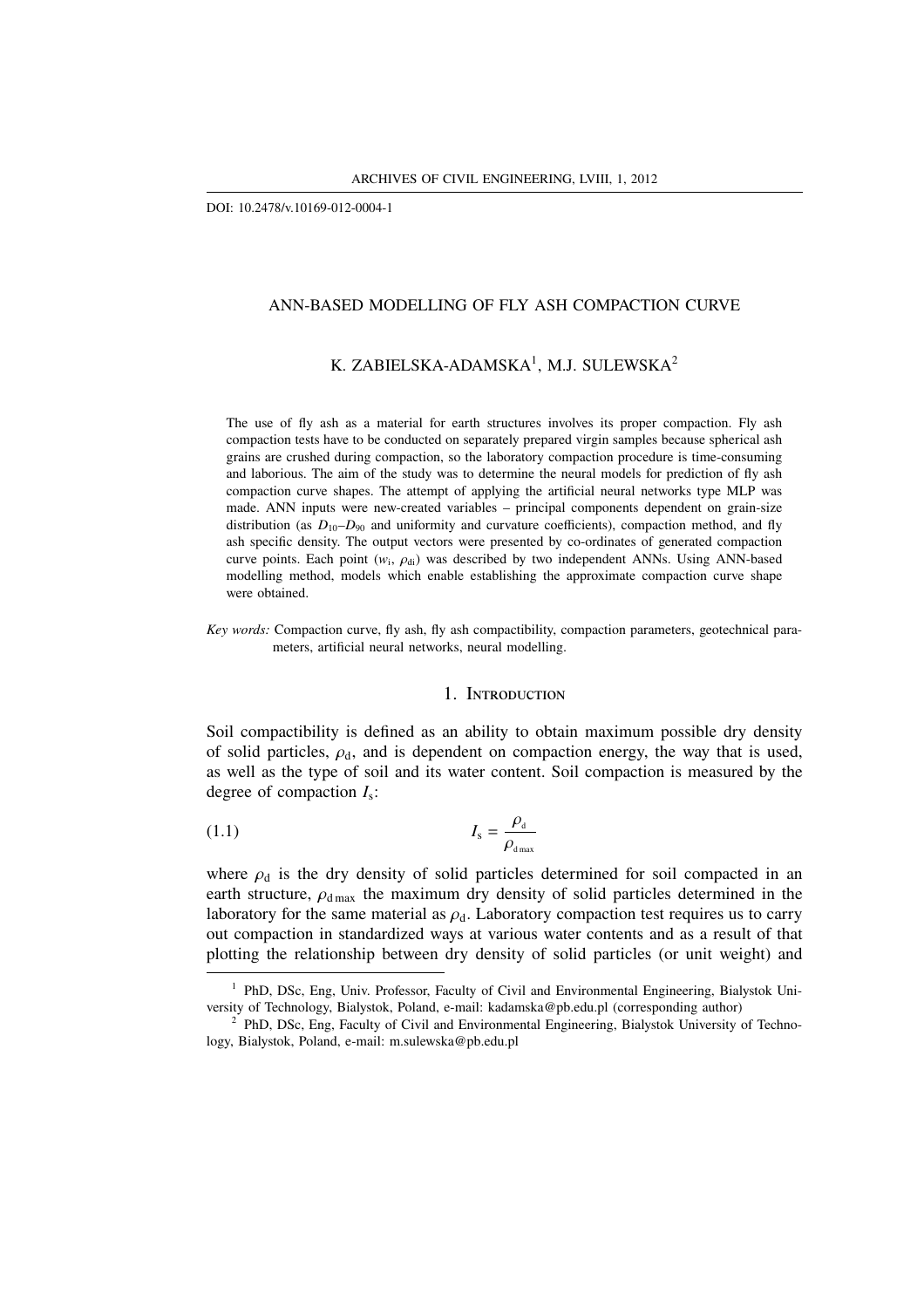DOI: 10.2478/v.10169-012-0004-1

# ANN-BASED MODELLING OF FLY ASH COMPACTION CURVE

# K. ZABIELSKA-ADAMSKA $^1$ , M.J. SULEWSKA $^2$

The use of fly ash as a material for earth structures involves its proper compaction. Fly ash compaction tests have to be conducted on separately prepared virgin samples because spherical ash grains are crushed during compaction, so the laboratory compaction procedure is time-consuming and laborious. The aim of the study was to determine the neural models for prediction of fly ash compaction curve shapes. The attempt of applying the artificial neural networks type MLP was made. ANN inputs were new-created variables – principal components dependent on grain-size distribution (as  $D_{10}$ – $D_{90}$  and uniformity and curvature coefficients), compaction method, and fly ash specific density. The output vectors were presented by co-ordinates of generated compaction curve points. Each point  $(w_i, \rho_{di})$  was described by two independent ANNs. Using ANN-based modelling method, models which enable establishing the approximate compaction curve shape were obtained.

*Key words:* Compaction curve, fly ash, fly ash compactibility, compaction parameters, geotechnical parameters, artificial neural networks, neural modelling.

## 1. INTRODUCTION

Soil compactibility is defined as an ability to obtain maximum possible dry density of solid particles,  $\rho_d$ , and is dependent on compaction energy, the way that is used, as well as the type of soil and its water content. Soil compaction is measured by the degree of compaction *I*<sup>s</sup> :

$$
I_{\rm s} = \frac{\rho_{\rm d}}{\rho_{\rm d_{max}}}
$$

where  $\rho_d$  is the dry density of solid particles determined for soil compacted in an earth structure,  $\rho_{\rm dmax}$  the maximum dry density of solid particles determined in the laboratory for the same material as  $\rho_d$ . Laboratory compaction test requires us to carry out compaction in standardized ways at various water contents and as a result of that plotting the relationship between dry density of solid particles (or unit weight) and

 $1$  PhD, DSc, Eng, Univ. Professor, Faculty of Civil and Environmental Engineering, Bialystok University of Technology, Bialystok, Poland, e-mail: kadamska@pb.edu.pl (corresponding author)

<sup>2</sup> PhD, DSc, Eng, Faculty of Civil and Environmental Engineering, Bialystok University of Technology, Bialystok, Poland, e-mail: m.sulewska@pb.edu.pl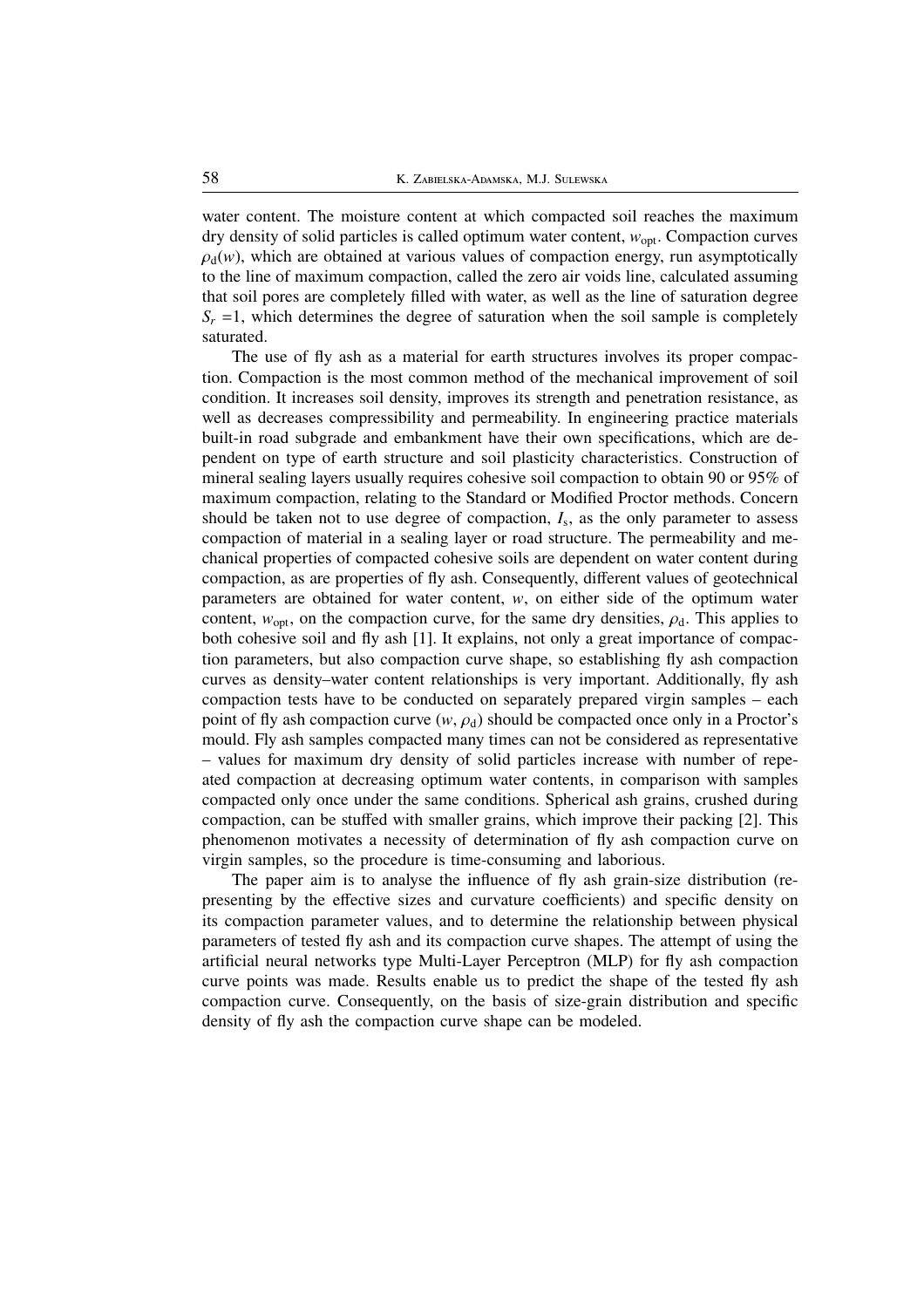water content. The moisture content at which compacted soil reaches the maximum dry density of solid particles is called optimum water content, *w*opt. Compaction curves  $\rho_d(w)$ , which are obtained at various values of compaction energy, run asymptotically to the line of maximum compaction, called the zero air voids line, calculated assuming that soil pores are completely filled with water, as well as the line of saturation degree  $S_r = 1$ , which determines the degree of saturation when the soil sample is completely saturated.

The use of fly ash as a material for earth structures involves its proper compaction. Compaction is the most common method of the mechanical improvement of soil condition. It increases soil density, improves its strength and penetration resistance, as well as decreases compressibility and permeability. In engineering practice materials built-in road subgrade and embankment have their own specifications, which are dependent on type of earth structure and soil plasticity characteristics. Construction of mineral sealing layers usually requires cohesive soil compaction to obtain 90 or 95% of maximum compaction, relating to the Standard or Modified Proctor methods. Concern should be taken not to use degree of compaction,  $I_s$ , as the only parameter to assess compaction of material in a sealing layer or road structure. The permeability and mechanical properties of compacted cohesive soils are dependent on water content during compaction, as are properties of fly ash. Consequently, different values of geotechnical parameters are obtained for water content, *w*, on either side of the optimum water content,  $w_{opt}$ , on the compaction curve, for the same dry densities,  $\rho_d$ . This applies to both cohesive soil and fly ash [1]. It explains, not only a great importance of compaction parameters, but also compaction curve shape, so establishing fly ash compaction curves as density–water content relationships is very important. Additionally, fly ash compaction tests have to be conducted on separately prepared virgin samples – each point of fly ash compaction curve  $(w, \rho_d)$  should be compacted once only in a Proctor's mould. Fly ash samples compacted many times can not be considered as representative – values for maximum dry density of solid particles increase with number of repeated compaction at decreasing optimum water contents, in comparison with samples compacted only once under the same conditions. Spherical ash grains, crushed during compaction, can be stuffed with smaller grains, which improve their packing [2]. This phenomenon motivates a necessity of determination of fly ash compaction curve on virgin samples, so the procedure is time-consuming and laborious.

The paper aim is to analyse the influence of fly ash grain-size distribution (representing by the effective sizes and curvature coefficients) and specific density on its compaction parameter values, and to determine the relationship between physical parameters of tested fly ash and its compaction curve shapes. The attempt of using the artificial neural networks type Multi-Layer Perceptron (MLP) for fly ash compaction curve points was made. Results enable us to predict the shape of the tested fly ash compaction curve. Consequently, on the basis of size-grain distribution and specific density of fly ash the compaction curve shape can be modeled.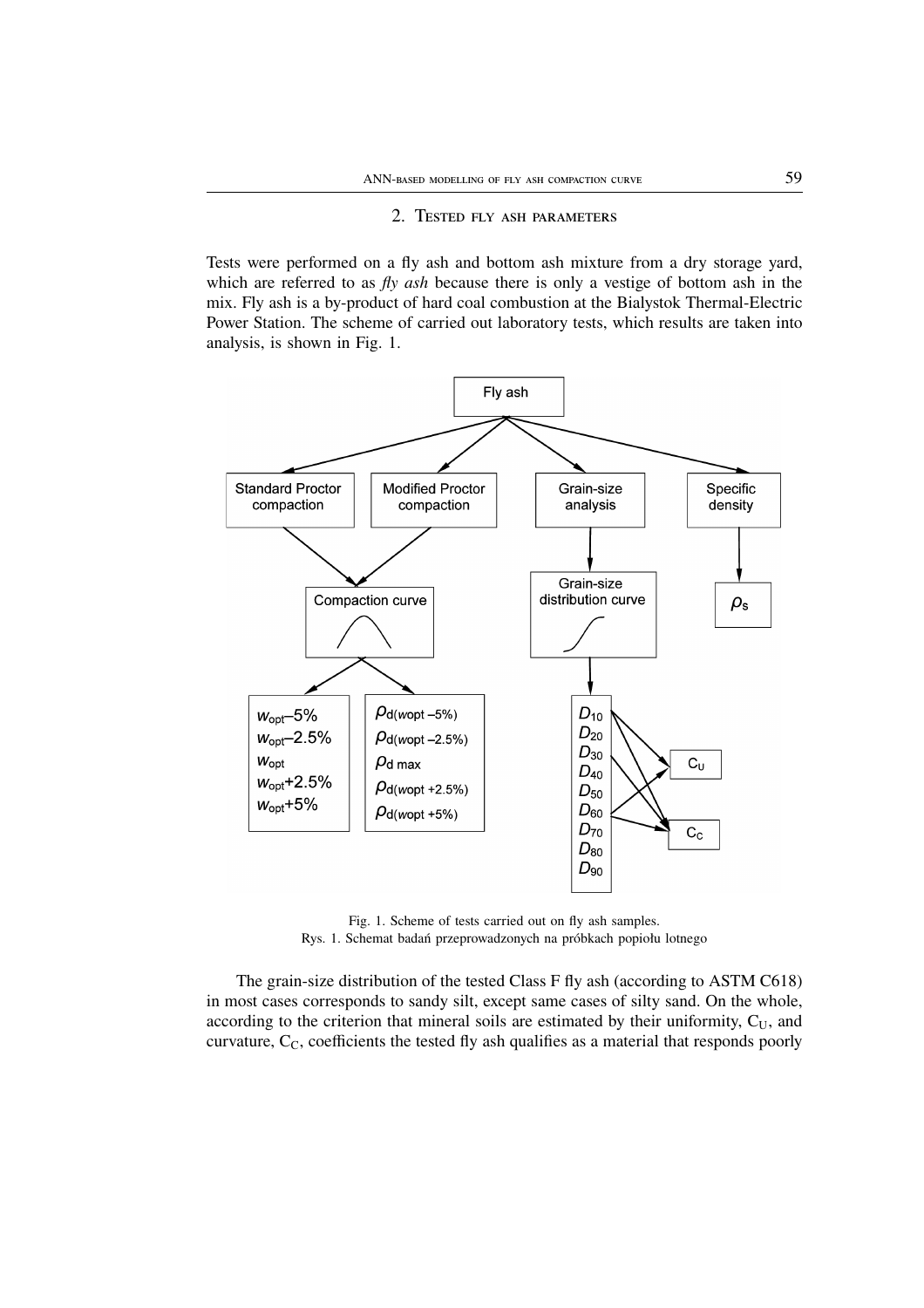# 2. TESTED FLY ASH PARAMETERS

Tests were performed on a fly ash and bottom ash mixture from a dry storage yard, which are referred to as *fly ash* because there is only a vestige of bottom ash in the mix. Fly ash is a by-product of hard coal combustion at the Bialystok Thermal-Electric Power Station. The scheme of carried out laboratory tests, which results are taken into analysis, is shown in Fig. 1.



Fig. 1. Scheme of tests carried out on fly ash samples. Rys. 1. Schemat badań przeprowadzonych na próbkach popiołu lotnego

The grain-size distribution of the tested Class F fly ash (according to ASTM C618) in most cases corresponds to sandy silt, except same cases of silty sand. On the whole, according to the criterion that mineral soils are estimated by their uniformity,  $C_U$ , and curvature,  $C_C$ , coefficients the tested fly ash qualifies as a material that responds poorly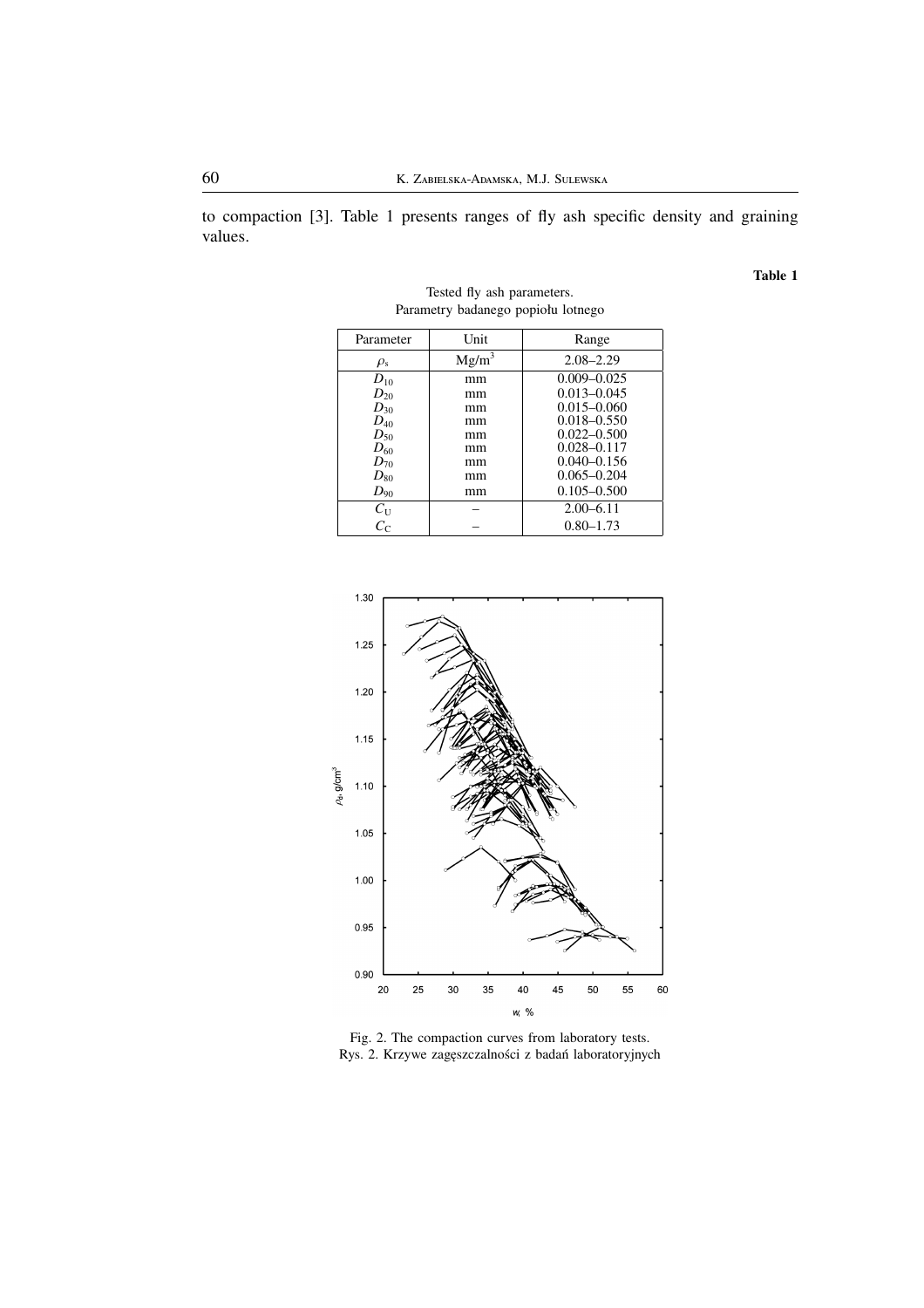to compaction [3]. Table 1 presents ranges of fly ash specific density and graining values.

**Table 1**

| Parameter      | Unit     | Range           |
|----------------|----------|-----------------|
| $\rho_{\rm s}$ | $Mg/m^3$ | $2.08 - 2.29$   |
| $D_{10}$       | mm       | $0.009 - 0.025$ |
| $D_{20}$       | mm       | $0.013 - 0.045$ |
| $D_{30}$       | mm       | $0.015 - 0.060$ |
| $D_{40}$       | mm       | $0.018 - 0.550$ |
| $D_{50}$       | mm       | $0.022 - 0.500$ |
| $D_{60}$       | mm       | $0.028 - 0.117$ |
| $D_{70}$       | mm       | $0.040 - 0.156$ |
| $D_{80}$       | mm       | $0.065 - 0.204$ |
| $D_{90}$       | mm       | $0.105 - 0.500$ |
| $C_{\rm U}$    |          | $2.00 - 6.11$   |
| $C_{\rm C}$    |          | $0.80 - 1.73$   |

Tested fly ash parameters. Parametry badanego popiołu lotnego



Fig. 2. The compaction curves from laboratory tests. Rys. 2. Krzywe zagęszczalności z badań laboratoryjnych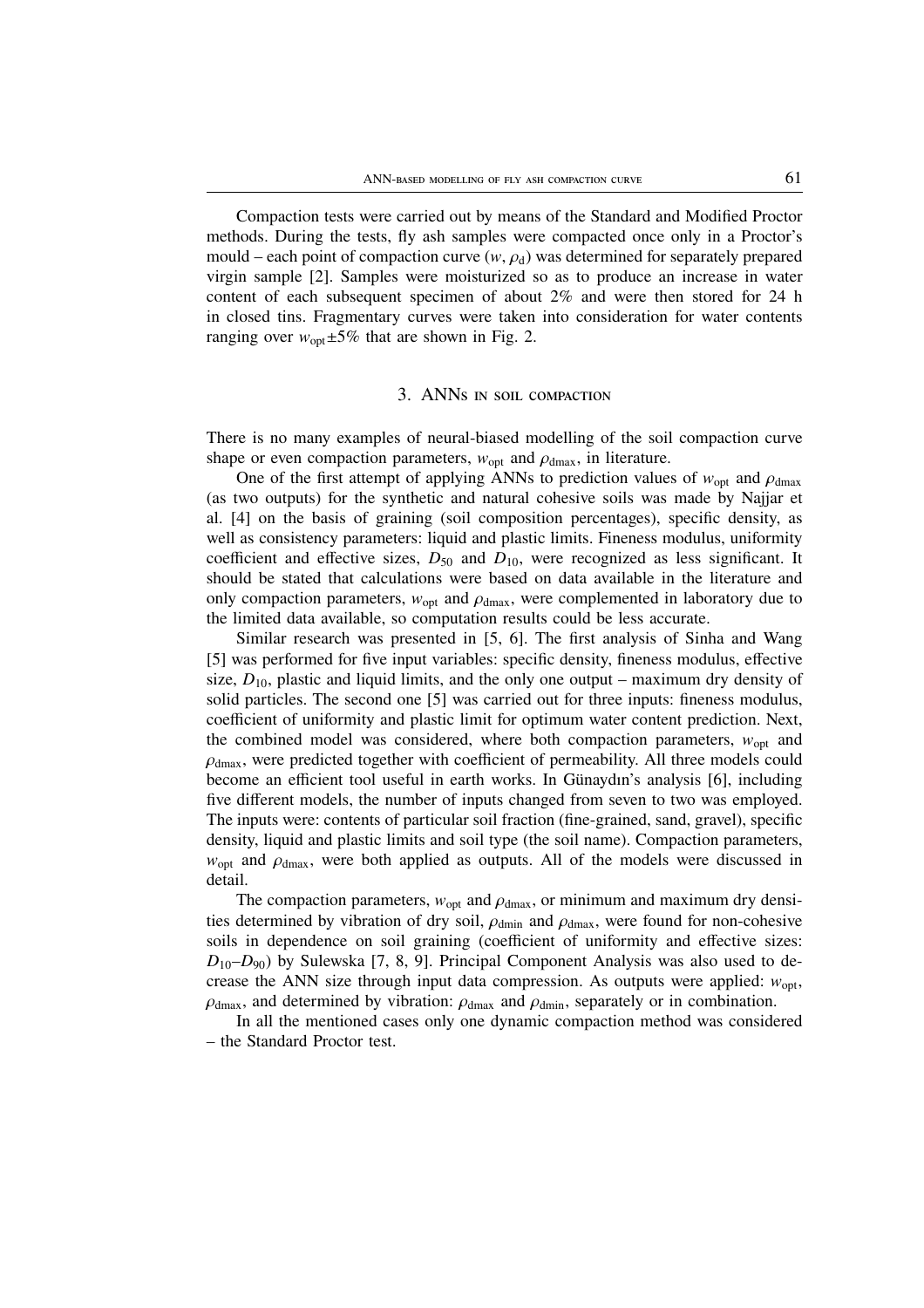Compaction tests were carried out by means of the Standard and Modified Proctor methods. During the tests, fly ash samples were compacted once only in a Proctor's mould – each point of compaction curve  $(w, \rho_d)$  was determined for separately prepared virgin sample [2]. Samples were moisturized so as to produce an increase in water content of each subsequent specimen of about 2% and were then stored for 24 h in closed tins. Fragmentary curves were taken into consideration for water contents ranging over  $w_{\text{opt}} \pm 5\%$  that are shown in Fig. 2.

# 3. ANNs IN SOIL COMPACTION

There is no many examples of neural-biased modelling of the soil compaction curve shape or even compaction parameters,  $w_{opt}$  and  $\rho_{dmax}$ , in literature.

One of the first attempt of applying ANNs to prediction values of  $w_{\text{opt}}$  and  $\rho_{\text{dmax}}$ (as two outputs) for the synthetic and natural cohesive soils was made by Najjar et al. [4] on the basis of graining (soil composition percentages), specific density, as well as consistency parameters: liquid and plastic limits. Fineness modulus, uniformity coefficient and effective sizes,  $D_{50}$  and  $D_{10}$ , were recognized as less significant. It should be stated that calculations were based on data available in the literature and only compaction parameters,  $w_{opt}$  and  $\rho_{dmax}$ , were complemented in laboratory due to the limited data available, so computation results could be less accurate.

Similar research was presented in [5, 6]. The first analysis of Sinha and Wang [5] was performed for five input variables: specific density, fineness modulus, effective size,  $D_{10}$ , plastic and liquid limits, and the only one output – maximum dry density of solid particles. The second one [5] was carried out for three inputs: fineness modulus, coefficient of uniformity and plastic limit for optimum water content prediction. Next, the combined model was considered, where both compaction parameters,  $w_{\text{opt}}$  and  $\rho_{\text{dmax}}$ , were predicted together with coefficient of permeability. All three models could become an efficient tool useful in earth works. In Günaydın's analysis [6], including five different models, the number of inputs changed from seven to two was employed. The inputs were: contents of particular soil fraction (fine-grained, sand, gravel), specific density, liquid and plastic limits and soil type (the soil name). Compaction parameters,  $w<sub>opt</sub>$  and  $\rho<sub>dmax</sub>$ , were both applied as outputs. All of the models were discussed in detail.

The compaction parameters,  $w_{opt}$  and  $\rho_{dmax}$ , or minimum and maximum dry densities determined by vibration of dry soil,  $\rho_{\text{dmin}}$  and  $\rho_{\text{dmax}}$ , were found for non-cohesive soils in dependence on soil graining (coefficient of uniformity and effective sizes: *D*10–*D*90) by Sulewska [7, 8, 9]. Principal Component Analysis was also used to decrease the ANN size through input data compression. As outputs were applied:  $w_{\text{out}}$ ,  $\rho_{\text{dmax}}$ , and determined by vibration:  $\rho_{\text{dmax}}$  and  $\rho_{\text{dmin}}$ , separately or in combination.

In all the mentioned cases only one dynamic compaction method was considered – the Standard Proctor test.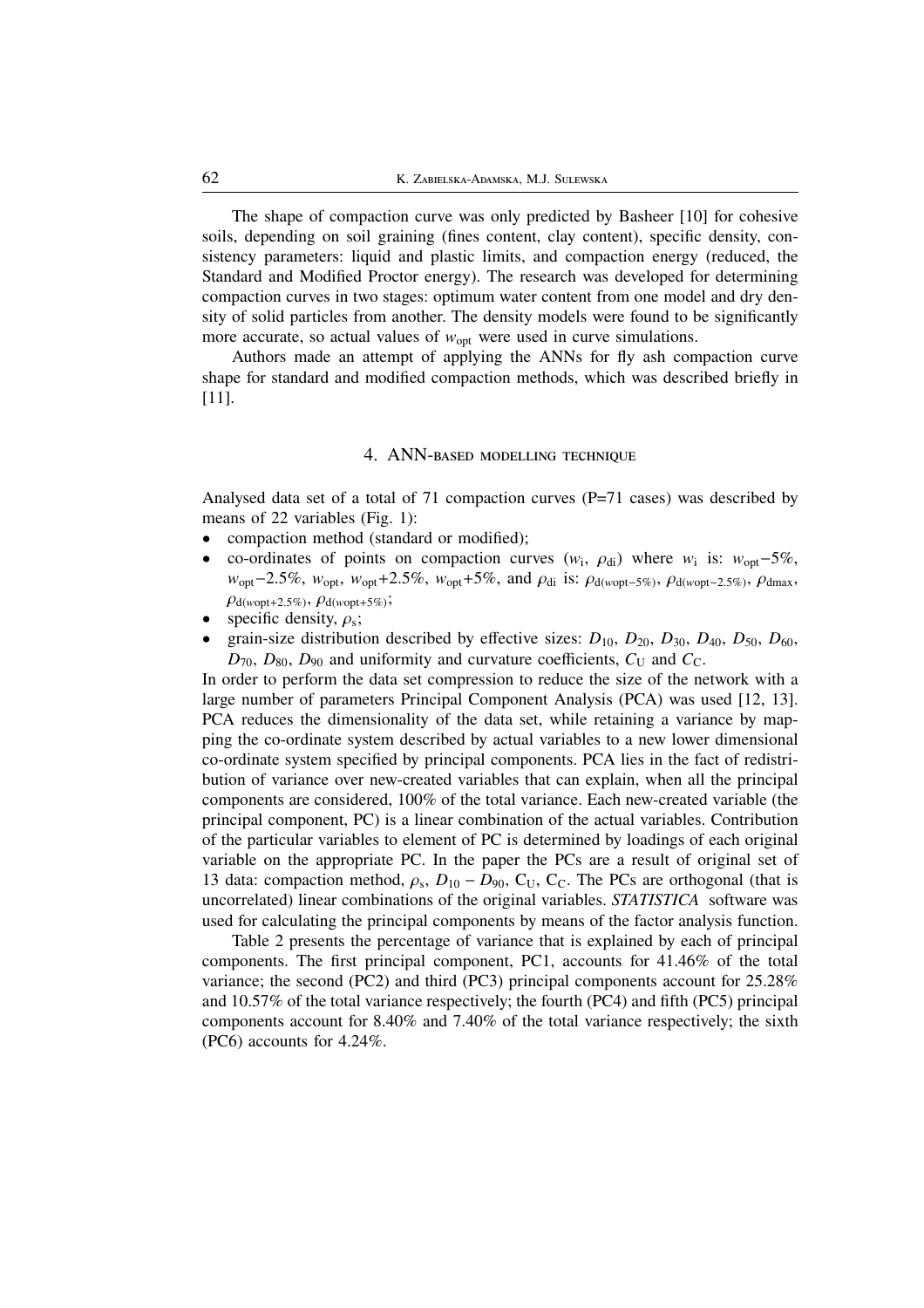The shape of compaction curve was only predicted by Basheer [10] for cohesive soils, depending on soil graining (fines content, clay content), specific density, consistency parameters: liquid and plastic limits, and compaction energy (reduced, the Standard and Modified Proctor energy). The research was developed for determining compaction curves in two stages: optimum water content from one model and dry density of solid particles from another. The density models were found to be significantly more accurate, so actual values of  $w_{\text{opt}}$  were used in curve simulations.

Authors made an attempt of applying the ANNs for fly ash compaction curve shape for standard and modified compaction methods, which was described briefly in [11].

# 4. ANN-BASED MODELLING TECHNIQUE

Analysed data set of a total of 71 compaction curves (P=71 cases) was described by means of 22 variables (Fig. 1):

- compaction method (standard or modified);
- co-ordinates of points on compaction curves  $(w_i, \rho_{di})$  where  $w_i$  is:  $w_{opt}$ -5%, *w*<sub>opt</sub>−2.5%, *w*<sub>opt</sub>, *w*<sub>opt</sub>+2.5%, *w*<sub>opt</sub>+5%, and *ρ*<sub>di</sub> is: *ρ*<sub>d(*w*opt−5%)</sub>, *ρ*<sub>d(*w*opt−2.5%)</sub>, *ρ*<sub>dmax</sub>,  $\rho_{d(wopt+2.5\%)}$ ,  $\rho_{d(wopt+5\%)}$ ;
- specific density,  $\rho_s$ ;
- grain-size distribution described by effective sizes:  $D_{10}$ ,  $D_{20}$ ,  $D_{30}$ ,  $D_{40}$ ,  $D_{50}$ ,  $D_{60}$ ,  $D_{70}$ ,  $D_{80}$ ,  $D_{90}$  and uniformity and curvature coefficients,  $C_U$  and  $C_C$ .

In order to perform the data set compression to reduce the size of the network with a large number of parameters Principal Component Analysis (PCA) was used [12, 13]. PCA reduces the dimensionality of the data set, while retaining a variance by mapping the co-ordinate system described by actual variables to a new lower dimensional co-ordinate system specified by principal components. PCA lies in the fact of redistribution of variance over new-created variables that can explain, when all the principal components are considered, 100% of the total variance. Each new-created variable (the principal component, PC) is a linear combination of the actual variables. Contribution of the particular variables to element of PC is determined by loadings of each original variable on the appropriate PC. In the paper the PCs are a result of original set of 13 data: compaction method,  $\rho_s$ ,  $D_{10} - D_{90}$ , C<sub>U</sub>, C<sub>C</sub>. The PCs are orthogonal (that is uncorrelated) linear combinations of the original variables. *STATISTICA* software was used for calculating the principal components by means of the factor analysis function.

Table 2 presents the percentage of variance that is explained by each of principal components. The first principal component, PC1, accounts for 41.46% of the total variance; the second (PC2) and third (PC3) principal components account for 25.28% and 10.57% of the total variance respectively; the fourth (PC4) and fifth (PC5) principal components account for 8.40% and 7.40% of the total variance respectively; the sixth (PC6) accounts for 4.24%.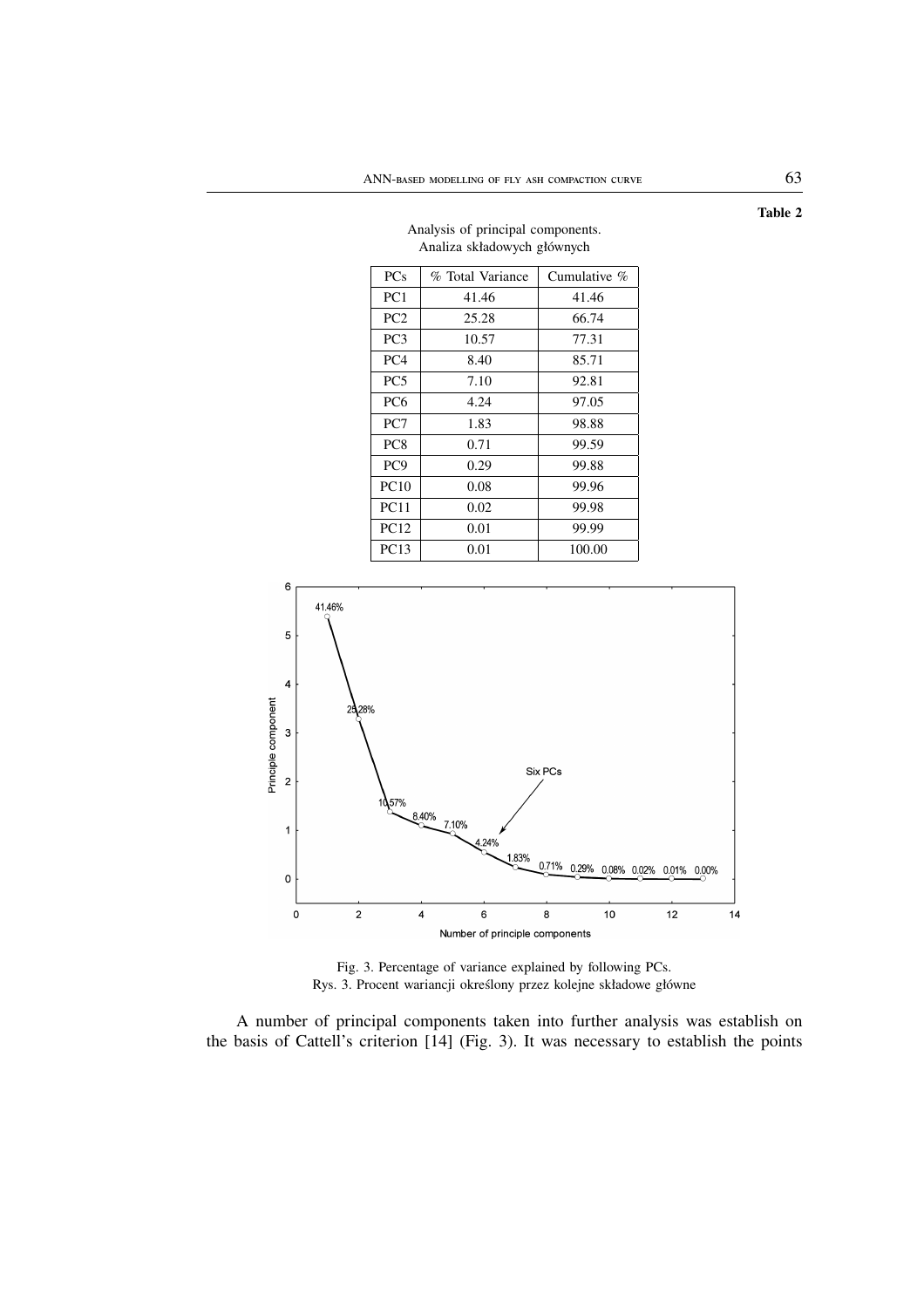| z manza składów ych głównych |                  |              |  |  |  |  |
|------------------------------|------------------|--------------|--|--|--|--|
| <b>PCs</b>                   | % Total Variance | Cumulative % |  |  |  |  |
| PC <sub>1</sub>              | 41.46            | 41.46        |  |  |  |  |
| PC <sub>2</sub>              | 25.28            | 66.74        |  |  |  |  |
| PC <sub>3</sub>              | 10.57            | 77.31        |  |  |  |  |
| PC <sub>4</sub>              | 8.40             | 85.71        |  |  |  |  |
| PC <sub>5</sub>              | 7.10             | 92.81        |  |  |  |  |
| PC <sub>6</sub>              | 4.24             | 97.05        |  |  |  |  |
| PC7                          | 1.83             | 98.88        |  |  |  |  |
| PC <sub>8</sub>              | 0.71             | 99.59        |  |  |  |  |
| PC <sub>9</sub>              | 0.29             | 99.88        |  |  |  |  |
| PC10                         | 0.08             | 99.96        |  |  |  |  |
| <b>PC11</b>                  | 0.02             | 99.98        |  |  |  |  |
| <b>PC12</b>                  | 0.01             | 99.99        |  |  |  |  |
| $\mathbf{r}$                 | 0.01             | $\cdots$     |  |  |  |  |

#### Analysis of principal components. Analiza składowych głównych



Fig. 3. Percentage of variance explained by following PCs. Rys. 3. Procent wariancji określony przez kolejne składowe główne

A number of principal components taken into further analysis was establish on the basis of Cattell's criterion [14] (Fig. 3). It was necessary to establish the points

**Table 2**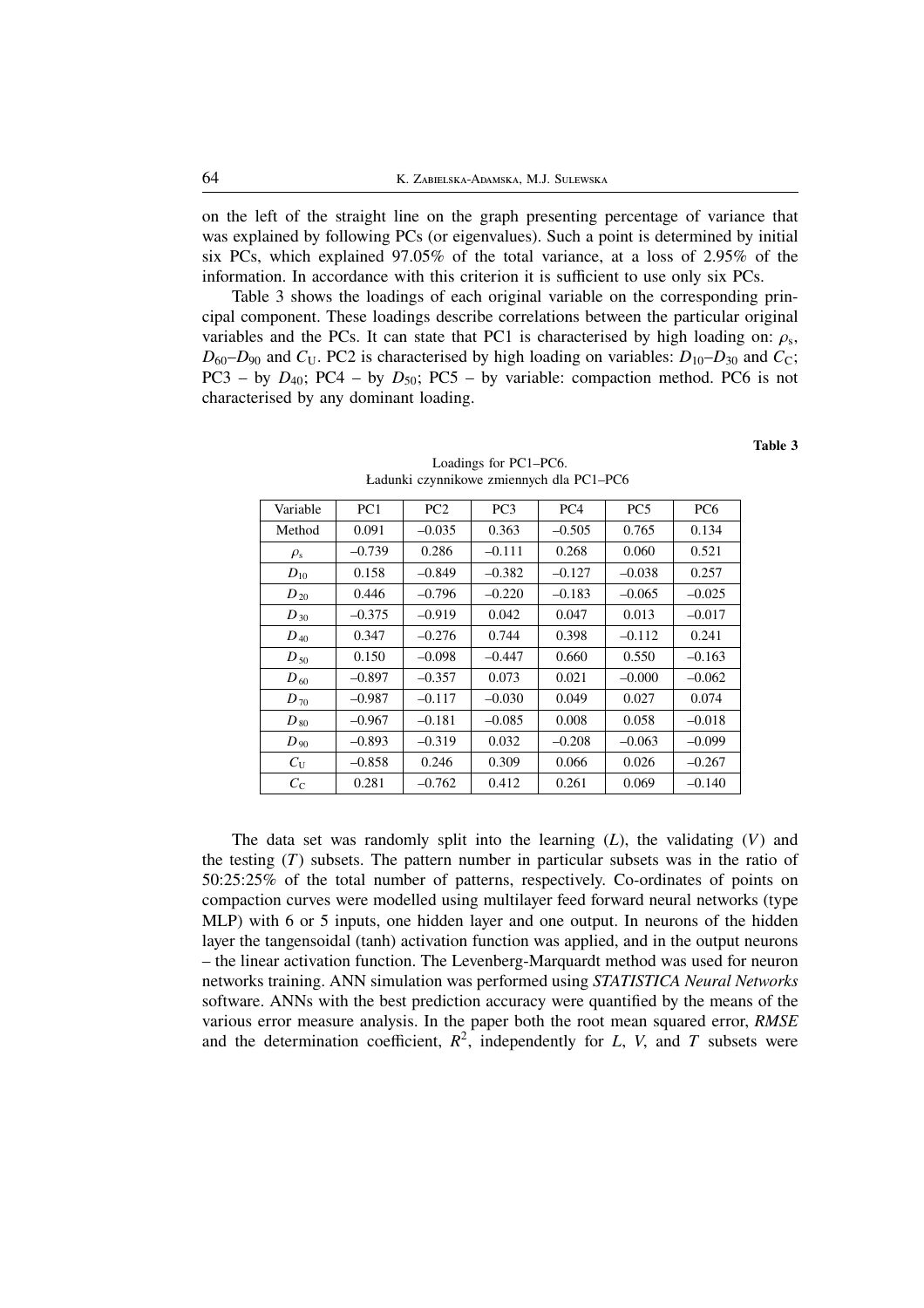on the left of the straight line on the graph presenting percentage of variance that was explained by following PCs (or eigenvalues). Such a point is determined by initial six PCs, which explained 97.05% of the total variance, at a loss of 2.95% of the information. In accordance with this criterion it is sufficient to use only six PCs.

Table 3 shows the loadings of each original variable on the corresponding principal component. These loadings describe correlations between the particular original variables and the PCs. It can state that PC1 is characterised by high loading on:  $\rho_s$ ,  $D_{60}$ – $D_{90}$  and  $C_U$ . PC2 is characterised by high loading on variables:  $D_{10}$ – $D_{30}$  and  $C_C$ ; PC3 – by  $D_{40}$ ; PC4 – by  $D_{50}$ ; PC5 – by variable: compaction method. PC6 is not characterised by any dominant loading.

| Variable       | PC <sub>1</sub> | PC <sub>2</sub> | PC <sub>3</sub> | PC <sub>4</sub> | PC <sub>5</sub> | PC <sub>6</sub> |  |
|----------------|-----------------|-----------------|-----------------|-----------------|-----------------|-----------------|--|
| Method         | 0.091           | $-0.035$        | 0.363           | $-0.505$        | 0.765           | 0.134           |  |
| $\rho_{\rm s}$ | $-0.739$        | 0.286           | $-0.111$        | 0.268           | 0.060           | 0.521           |  |
| $D_{10}$       | 0.158           | $-0.849$        | $-0.382$        | $-0.127$        | $-0.038$        | 0.257           |  |
| $D_{20}$       | 0.446           | $-0.796$        | $-0.220$        | $-0.183$        | $-0.065$        | $-0.025$        |  |
| $D_{30}$       | $-0.375$        | $-0.919$        | 0.042           | 0.047           | 0.013           | $-0.017$        |  |
| $D_{40}$       | 0.347           | $-0.276$        | 0.744           | 0.398           | $-0.112$        | 0.241           |  |
| $D_{\,50}$     | 0.150           | $-0.098$        | $-0.447$        | 0.660           | 0.550           | $-0.163$        |  |
| $D_{\,60}$     | $-0.897$        | $-0.357$        | 0.073           | 0.021           | $-0.000$        | $-0.062$        |  |
| $D_{70}$       | $-0.987$        | $-0.117$        | $-0.030$        | 0.049           | 0.027           | 0.074           |  |
| $D_{\,\rm 80}$ | $-0.967$        | $-0.181$        | $-0.085$        | 0.008           | 0.058           | $-0.018$        |  |
| $D_{.90}$      | $-0.893$        | $-0.319$        | 0.032           | $-0.208$        | $-0.063$        | $-0.099$        |  |
| $C_{\rm U}$    | $-0.858$        | 0.246           | 0.309           | 0.066           | 0.026           | $-0.267$        |  |
| $C_{\rm C}$    | 0.281           | $-0.762$        | 0.412           | 0.261           | 0.069           | $-0.140$        |  |

Loadings for PC1–PC6. Ładunki czynnikowe zmiennych dla PC1–PC6

**Table 3**

The data set was randomly split into the learning (*L*), the validating (*V*) and the testing (*T*) subsets. The pattern number in particular subsets was in the ratio of 50:25:25% of the total number of patterns, respectively. Co-ordinates of points on compaction curves were modelled using multilayer feed forward neural networks (type MLP) with 6 or 5 inputs, one hidden layer and one output. In neurons of the hidden layer the tangensoidal (tanh) activation function was applied, and in the output neurons – the linear activation function. The Levenberg-Marquardt method was used for neuron networks training. ANN simulation was performed using *STATISTICA Neural Networks* software. ANNs with the best prediction accuracy were quantified by the means of the various error measure analysis. In the paper both the root mean squared error, *RMSE* and the determination coefficient,  $R^2$ , independently for *L*, *V*, and *T* subsets were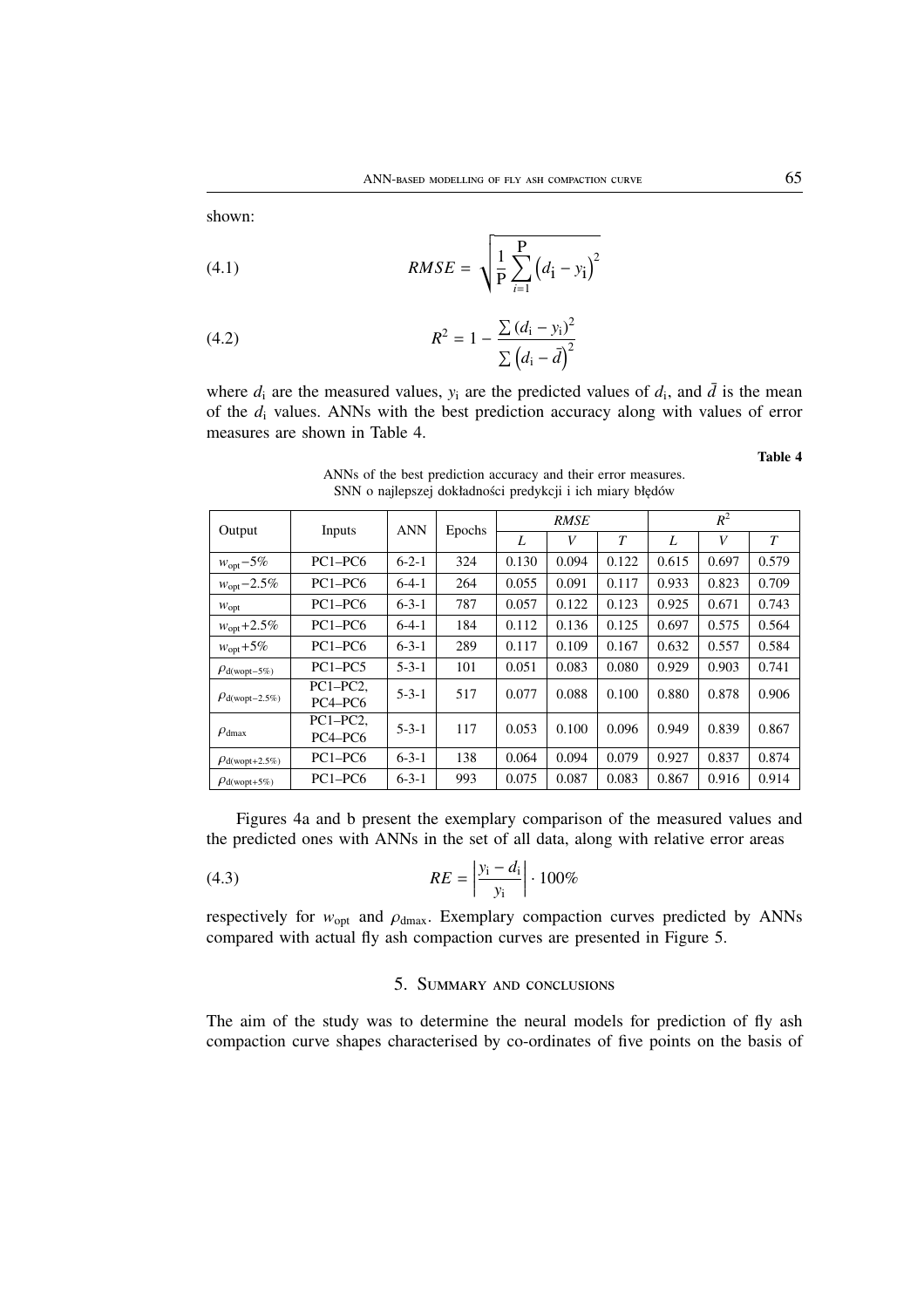shown:

(4.1) 
$$
RMSE = \sqrt{\frac{1}{P} \sum_{i=1}^{P} (d_i - y_i)^2}
$$

(4.2) 
$$
R^{2} = 1 - \frac{\sum (d_{i} - y_{i})^{2}}{\sum (d_{i} - \bar{d})^{2}}
$$

where  $d_i$  are the measured values,  $y_i$  are the predicted values of  $d_i$ , and  $\overline{d}$  is the mean of the *d*<sup>i</sup> values. ANNs with the best prediction accuracy along with values of error measures are shown in Table 4.

**Table 4**

| Output                               | Inputs                                         | <b>ANN</b>  | Epochs | <b>RMSE</b> |       |        | $R^2$ |       |        |
|--------------------------------------|------------------------------------------------|-------------|--------|-------------|-------|--------|-------|-------|--------|
|                                      |                                                |             |        | L           | V     | $\tau$ | L     | V     | $\tau$ |
| $w_{opt} - 5\%$                      | $PC1 - PC6$                                    | $6 - 2 - 1$ | 324    | 0.130       | 0.094 | 0.122  | 0.615 | 0.697 | 0.579  |
| $w_{opt} - 2.5\%$                    | $PC1 - PC6$                                    | $6-4-1$     | 264    | 0.055       | 0.091 | 0.117  | 0.933 | 0.823 | 0.709  |
| $W_{\text{opt}}$                     | $PC1 - PC6$                                    | $6 - 3 - 1$ | 787    | 0.057       | 0.122 | 0.123  | 0.925 | 0.671 | 0.743  |
| $w_{opt} + 2.5\%$                    | $PC1 - PC6$                                    | $6-4-1$     | 184    | 0.112       | 0.136 | 0.125  | 0.697 | 0.575 | 0.564  |
| $w_{\text{opt}} + 5\%$               | $PC1 - PC6$                                    | $6 - 3 - 1$ | 289    | 0.117       | 0.109 | 0.167  | 0.632 | 0.557 | 0.584  |
| $\rho_{\rm d(wopt-5\%)}$             | $PC1 - PC5$                                    | $5 - 3 - 1$ | 101    | 0.051       | 0.083 | 0.080  | 0.929 | 0.903 | 0.741  |
| $\rho_{\text{d}(\text{wopt}-2.5\%)}$ | $PC1-PC2.$<br>PC <sub>4</sub> -PC <sub>6</sub> | $5 - 3 - 1$ | 517    | 0.077       | 0.088 | 0.100  | 0.880 | 0.878 | 0.906  |
| $\rho_{\text{dmax}}$                 | $PC1-PC2.$<br>PC <sub>4</sub> -PC <sub>6</sub> | $5 - 3 - 1$ | 117    | 0.053       | 0.100 | 0.096  | 0.949 | 0.839 | 0.867  |
| $\rho_{\text{d}(\text{wopt}+2.5\%)}$ | $PC1 - PC6$                                    | $6 - 3 - 1$ | 138    | 0.064       | 0.094 | 0.079  | 0.927 | 0.837 | 0.874  |
| $\rho_{\text{d}(\text{wopt}+5\%)}$   | $PC1 - PC6$                                    | $6 - 3 - 1$ | 993    | 0.075       | 0.087 | 0.083  | 0.867 | 0.916 | 0.914  |

ANNs of the best prediction accuracy and their error measures. SNN o najlepszej dokładności predykcji i ich miary błędów

Figures 4a and b present the exemplary comparison of the measured values and the predicted ones with ANNs in the set of all data, along with relative error areas

(4.3) 
$$
RE = \left| \frac{y_i - d_i}{y_i} \right| \cdot 100\%
$$

respectively for  $w_{opt}$  and  $\rho_{dmax}$ . Exemplary compaction curves predicted by ANNs compared with actual fly ash compaction curves are presented in Figure 5.

# 5. SUMMARY AND CONCLUSIONS

The aim of the study was to determine the neural models for prediction of fly ash compaction curve shapes characterised by co-ordinates of five points on the basis of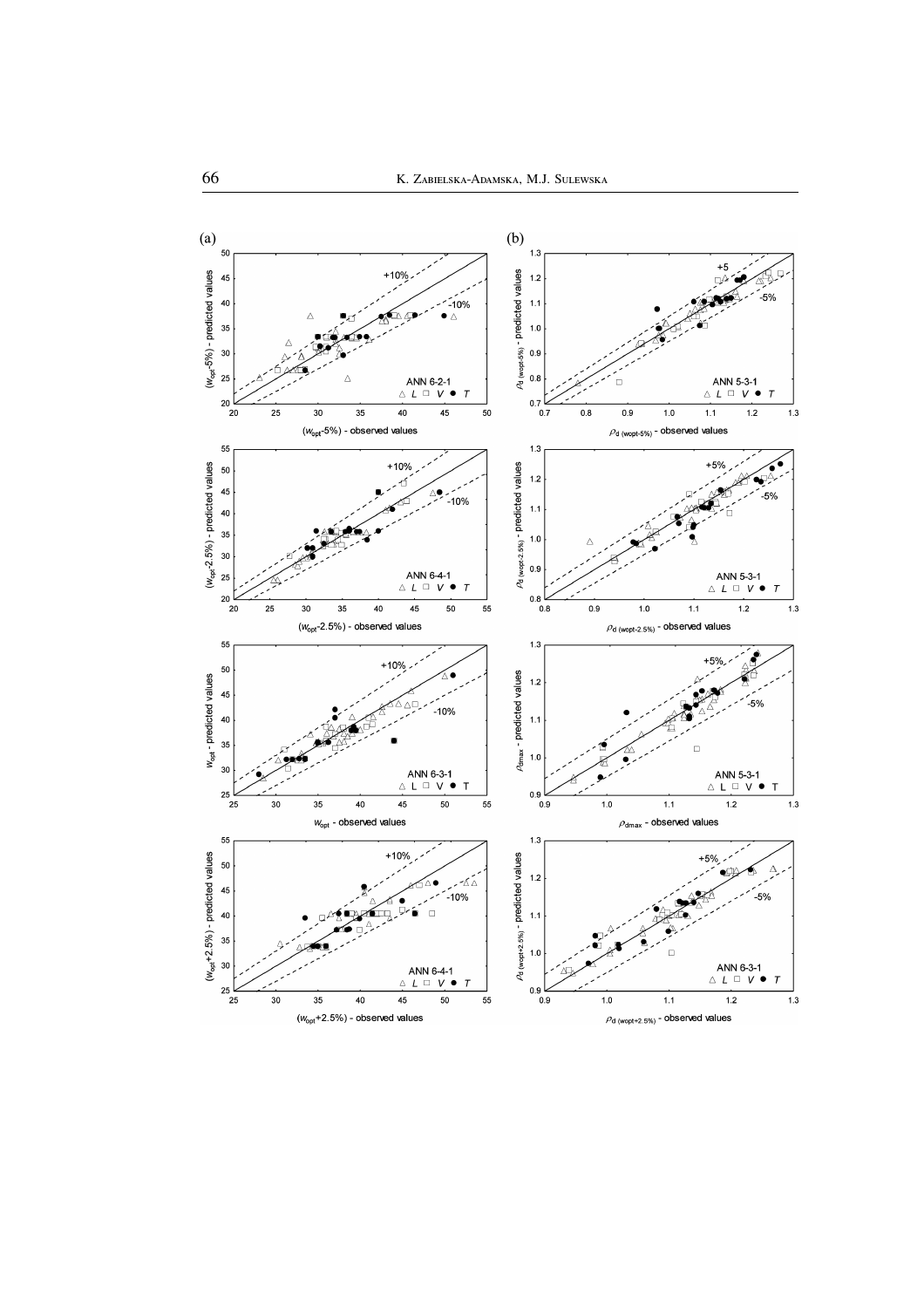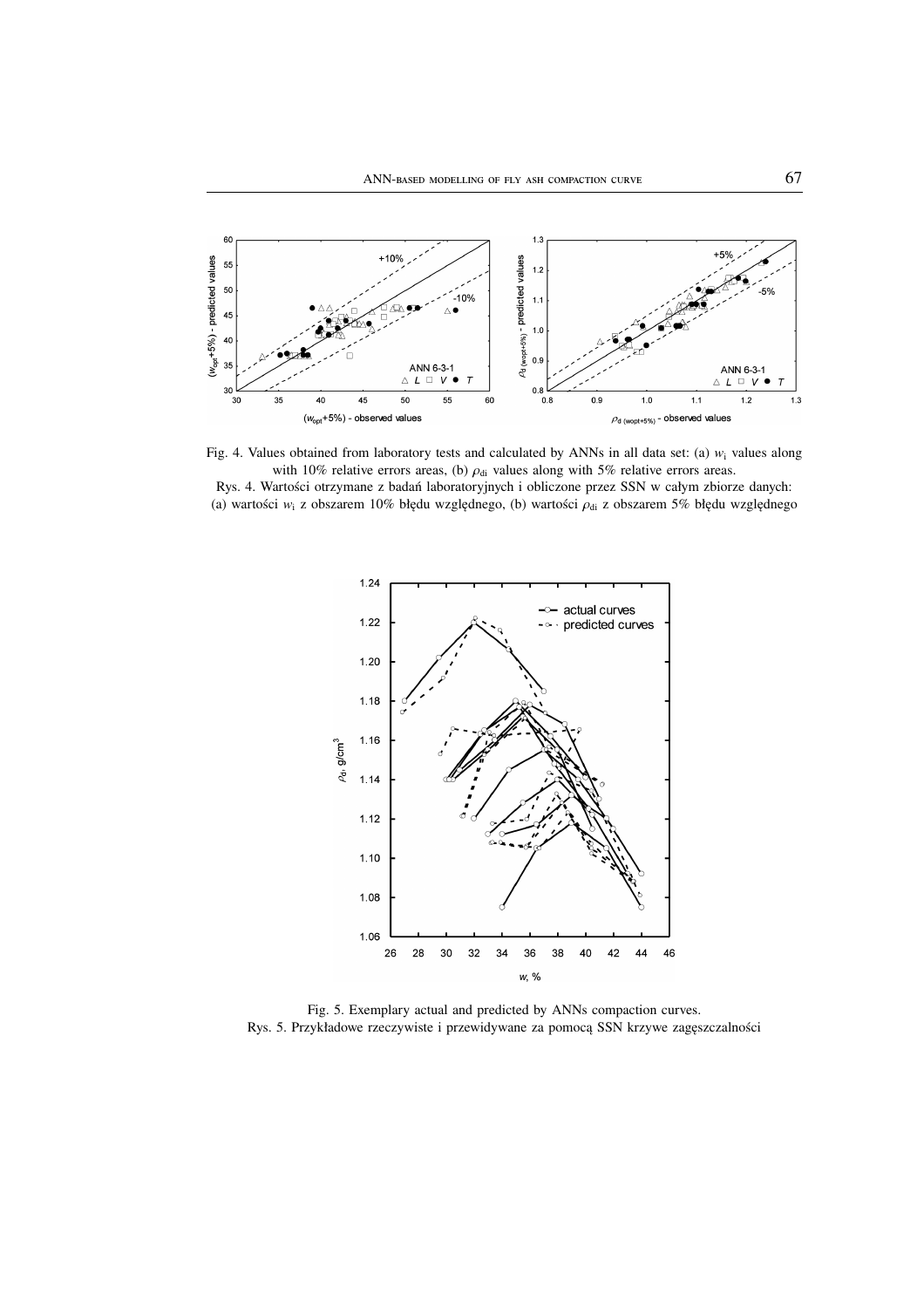

Fig. 4. Values obtained from laboratory tests and calculated by ANNs in all data set: (a)  $w_i$  values along with 10% relative errors areas, (b)  $\rho_{di}$  values along with 5% relative errors areas. Rys. 4. Wartości otrzymane z badań laboratoryjnych i obliczone przez SSN w całym zbiorze danych:

(a) wartości *w*<sub>i</sub> z obszarem 10% błędu względnego, (b) wartości ρ<sub>di</sub> z obszarem 5% błędu względnego



Fig. 5. Exemplary actual and predicted by ANNs compaction curves. Rys. 5. Przykładowe rzeczywiste i przewidywane za pomocą SSN krzywe zagęszczalności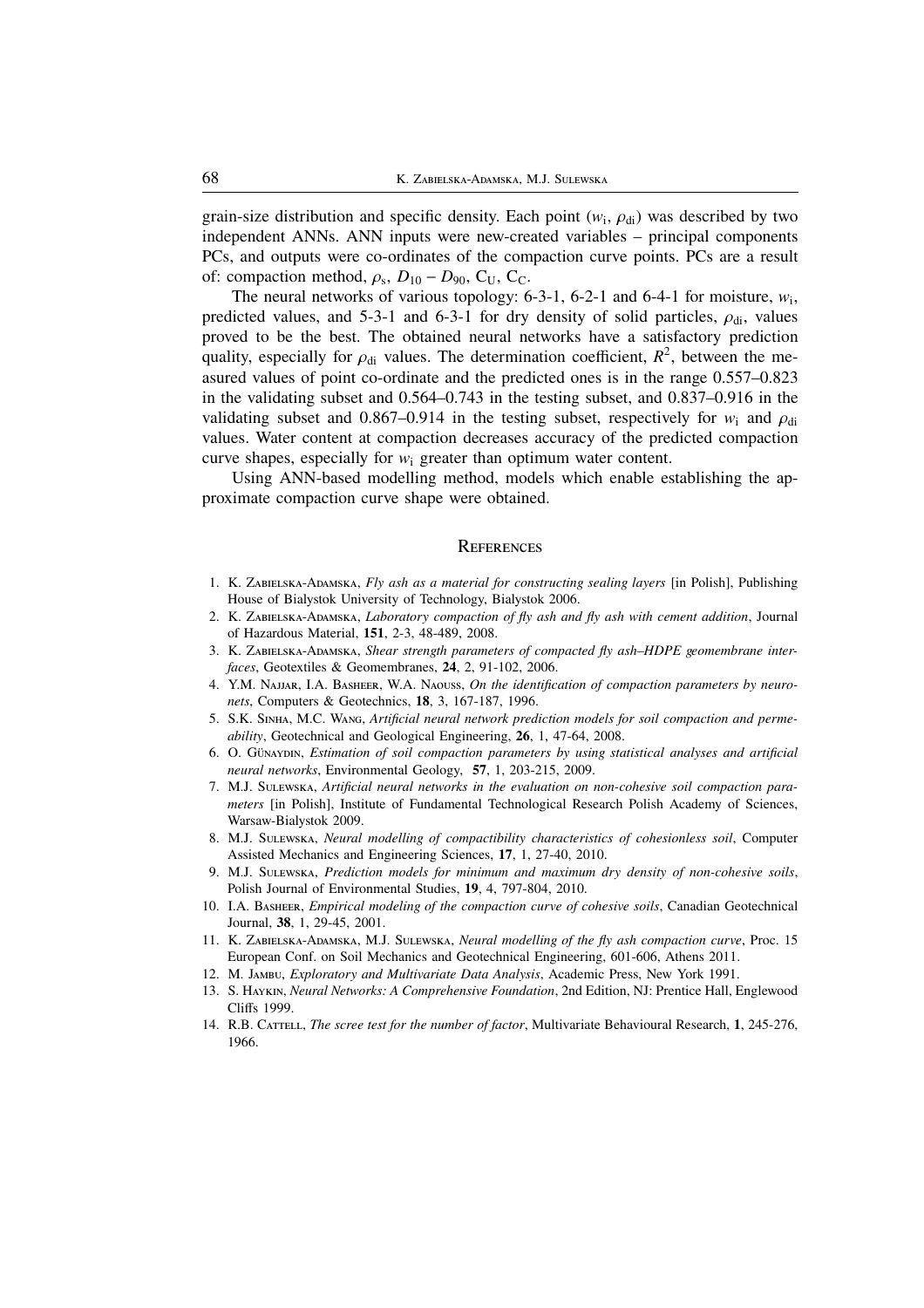grain-size distribution and specific density. Each point  $(w_i, \rho_{di})$  was described by two independent ANNs. ANN inputs were new-created variables – principal components PCs, and outputs were co-ordinates of the compaction curve points. PCs are a result of: compaction method,  $\rho_s$ ,  $D_{10} - D_{90}$ , C<sub>U</sub>, C<sub>C</sub>.

The neural networks of various topology:  $6-3-1$ ,  $6-2-1$  and  $6-4-1$  for moisture,  $w_i$ , predicted values, and 5-3-1 and 6-3-1 for dry density of solid particles,  $\rho_{di}$ , values proved to be the best. The obtained neural networks have a satisfactory prediction quality, especially for  $\rho_{di}$  values. The determination coefficient,  $R^2$ , between the measured values of point co-ordinate and the predicted ones is in the range 0.557–0.823 in the validating subset and 0.564–0.743 in the testing subset, and 0.837–0.916 in the validating subset and 0.867–0.914 in the testing subset, respectively for  $w_i$  and  $\rho_{di}$ values. Water content at compaction decreases accuracy of the predicted compaction curve shapes, especially for *w*<sup>i</sup> greater than optimum water content.

Using ANN-based modelling method, models which enable establishing the approximate compaction curve shape were obtained.

#### **REFERENCES**

- 1. K. ZABIELSKA-ADAMSKA, *Fly ash as a material for constructing sealing layers* [in Polish], Publishing House of Bialystok University of Technology, Bialystok 2006.
- 2. K. ZABIELSKA-ADAMSKA, *Laboratory compaction of fly ash and fly ash with cement addition*, Journal of Hazardous Material, **151**, 2-3, 48-489, 2008.
- 3. K. ZABIELSKA-ADAMSKA, Shear strength parameters of compacted fly ash-HDPE geomembrane inter*faces*, Geotextiles & Geomembranes, **24**, 2, 91-102, 2006.
- 4. Y.M. NAJJAR, I.A. BASHEER, W.A. NAOUSS, On the identification of compaction parameters by neuro*nets*, Computers & Geotechnics, **18**, 3, 167-187, 1996.
- 5. S.K. SINHA, M.C. WANG, *Artificial neural network prediction models for soil compaction and permeability*, Geotechnical and Geological Engineering, **26**, 1, 47-64, 2008.
- 6. O. Günaxpin, *Estimation of soil compaction parameters by using statistical analyses and artificial neural networks*, Environmental Geology, **57**, 1, 203-215, 2009.
- 7. M.J. SuLEWSKA, *Artificial neural networks in the evaluation on non-cohesive soil compaction parameters* [in Polish], Institute of Fundamental Technological Research Polish Academy of Sciences, Warsaw-Bialystok 2009.
- 8. M.J. SuLEWSKA, *Neural modelling of compactibility characteristics of cohesionless soil*, Computer Assisted Mechanics and Engineering Sciences, **17**, 1, 27-40, 2010.
- 9. M.J. SuLEWSKA, *Prediction models for minimum and maximum dry density of non-cohesive soils*, Polish Journal of Environmental Studies, **19**, 4, 797-804, 2010.
- 10. I.A. BASHEER, *Empirical modeling of the compaction curve of cohesive soils*, Canadian Geotechnical Journal, **38**, 1, 29-45, 2001.
- 11. K. ZABIELSKA-ADAMSKA, M.J. SULEWSKA, *Neural modelling of the fly ash compaction curve*, Proc. 15 European Conf. on Soil Mechanics and Geotechnical Engineering, 601-606, Athens 2011.
- 12. M. JAMBU, *Exploratory and Multivariate Data Analysis*, Academic Press, New York 1991.
- 13. S. HAYKIN, *Neural Networks: A Comprehensive Foundation*, 2nd Edition, NJ: Prentice Hall, Englewood Cliffs 1999.
- 14. R.B. C, *The scree test for the number of factor*, Multivariate Behavioural Research, **1**, 245-276, 1966.